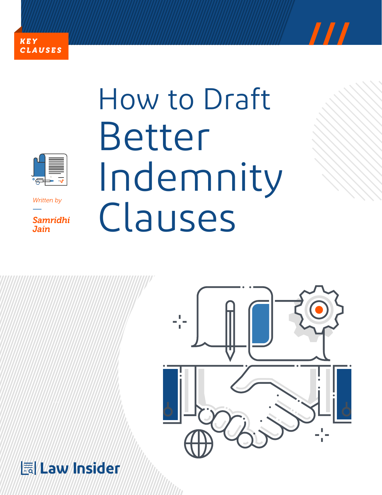





*Written by*

*Samridhi Jain* 

# How to Draft Better Indemnity Clauses



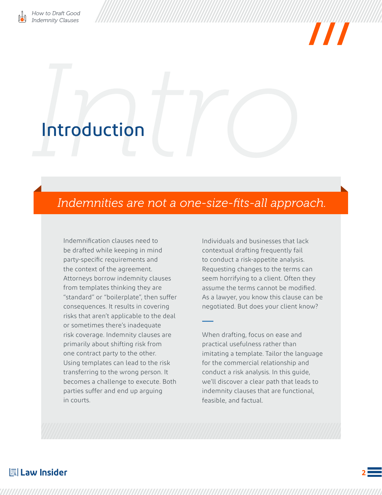

## <span id="page-1-0"></span>Introduction

## *Indemnities are not a one-size-fits-all approach.*

Indemnification clauses need to be drafted while keeping in mind party-specific requirements and the context of the agreement. Attorneys borrow indemnity clauses from templates thinking they are "standard" or "boilerplate", then suffer consequences. It results in covering risks that aren't applicable to the deal or sometimes there's inadequate risk coverage. Indemnity clauses are primarily about shifting risk from one contract party to the other. Using templates can lead to the risk transferring to the wrong person. It becomes a challenge to execute. Both parties suffer and end up arguing in courts.

Individuals and businesses that lack contextual drafting frequently fail to conduct a risk-appetite analysis. Requesting changes to the terms can seem horrifying to a client. Often they assume the terms cannot be modified. As a lawyer, you know this clause can be negotiated. But does your client know?

When drafting, focus on ease and practical usefulness rather than imitating a template. Tailor the language for the commercial relationship and conduct a risk analysis. In this guide, we'll discover a clear path that leads to indemnity clauses that are functional, feasible, and factual.

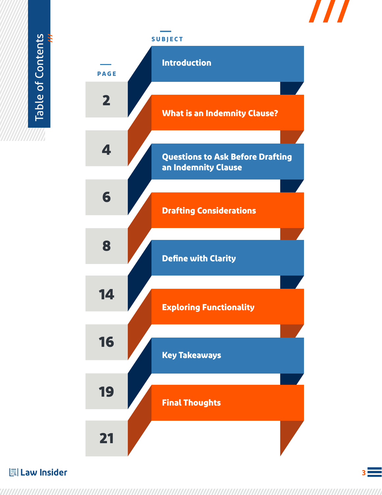<span id="page-2-0"></span>Table of Contents **///** Table of Contents



**I Law Insider**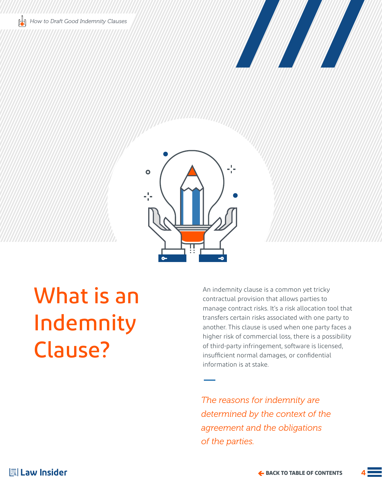

<span id="page-3-0"></span>

## What is an Indemnity Clause?

An indemnity clause is a common yet tricky contractual provision that allows parties to manage contract risks. It's a risk allocation tool that transfers certain risks associated with one party to another. This clause is used when one party faces a higher risk of commercial loss, there is a possibility of third-party infringement, software is licensed, insufficient normal damages, or confidential information is at stake.

*The reasons for indemnity are determined by the context of the agreement and the obligations of the parties.*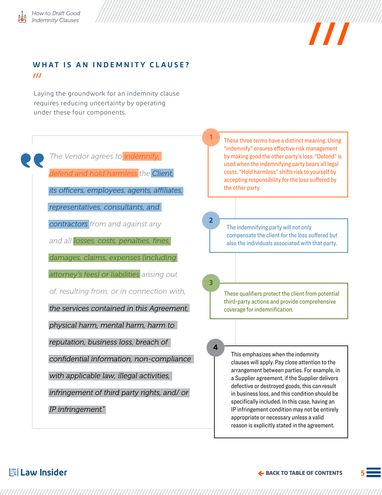

### **WHAT IS AN INDEMNITY CLAUSE? ///**

Laying the groundwork for an indemnity clause requires reducing uncertainty by operating under these four components.

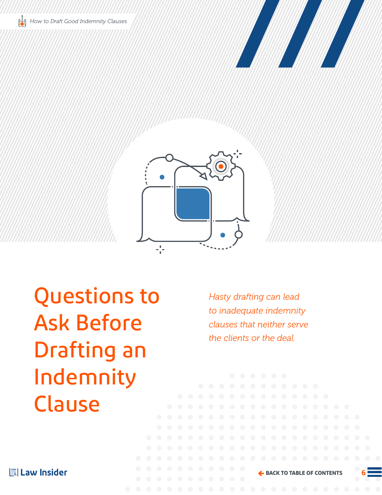<span id="page-5-0"></span>





Questions to Ask Before Drafting an Indemnity Clause

*Hasty drafting can lead to inadequate indemnity clauses that neither serve the clients or the deal.*

| law Insider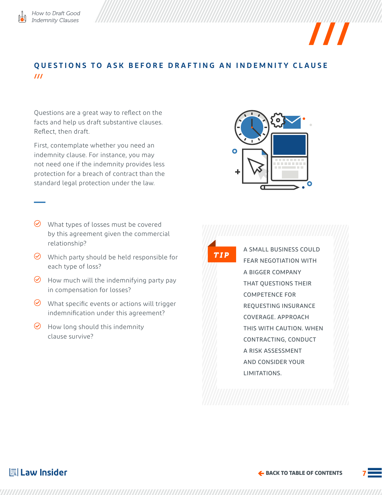

## **QUESTIONS TO ASK BEFORE DRAFTING AN INDEMNITY CLAUSE ///**

Questions are a great way to reflect on the facts and help us draft substantive clauses. Reflect, then draft.

First, contemplate whether you need an indemnity clause. For instance, you may not need one if the indemnity provides less protection for a breach of contract than the standard legal protection under the law.

- $\odot$  What types of losses must be covered by this agreement given the commercial relationship?
- $\Theta$  Which party should be held responsible for each type of loss?
- $\Theta$  How much will the indemnifying party pay in compensation for losses?
- $\odot$  What specific events or actions will trigger indemnification under this agreement?
- $\Theta$  How long should this indemnity clause survive?

 $\bullet$ 

 $\boldsymbol{H}$ 

*TIP*

A SMALL BUSINESS COULD FEAR NEGOTIATION WITH A BIGGER COMPANY THAT QUESTIONS THEIR COMPETENCE FOR REQUESTING INSURANCE COVERAGE. APPROACH THIS WITH CAUTION. WHEN CONTRACTING, CONDUCT A RISK ASSESSMENT AND CONSIDER YOUR LIMITATIONS.

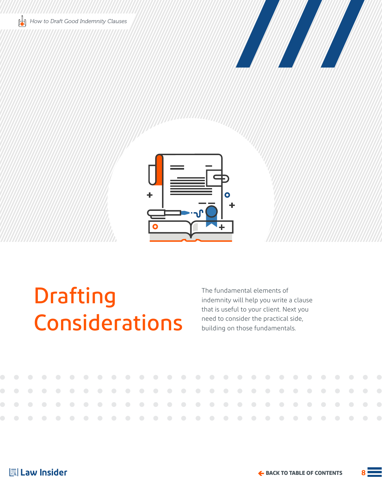<span id="page-7-0"></span>





 $\bigcirc$ 

 $\bigcirc$ 

 $\bigcirc$ 

 $\bigcirc$ 

## Drafting Considerations

 $\bigcirc$ 

 $\bigcirc$ 

 $\bigcirc$ 

 $\bigcirc$ 

 $\bigcirc$ 

 $\bigcirc$ 

 $\bigcirc$ 

 $\bigcirc$ 

 $\bigcirc$ 

The fundamental elements of indemnity will help you write a clause that is useful to your client. Next you need to consider the practical side, building on those fundamentals.

 $\bigcirc$ 



 $\bigcirc$ 

 $\bigcirc$ 

 $\bigcirc$ 

 $\bigcirc$ 

 $\bigcirc$ 

 $\bigcirc$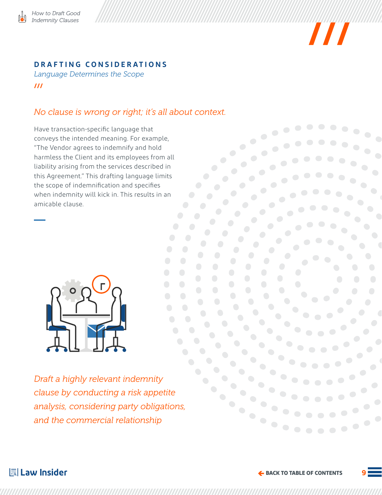



## **DRAFTING CONSIDERATIONS**

*Language Determines the Scope* **///**

## *No clause is wrong or right; it's all about context.*

Have transaction-specific language that conveys the intended meaning. For example, "The Vendor agrees to indemnify and hold harmless the Client and its employees from all liability arising from the services described in this Agreement." This drafting language limits the scope of indemnification and specifies when indemnity will kick in. This results in an amicable clause.



*Draft a highly relevant indemnity clause by conducting a risk appetite analysis, considering party obligations, and the commercial relationship*



 $\bullet$  .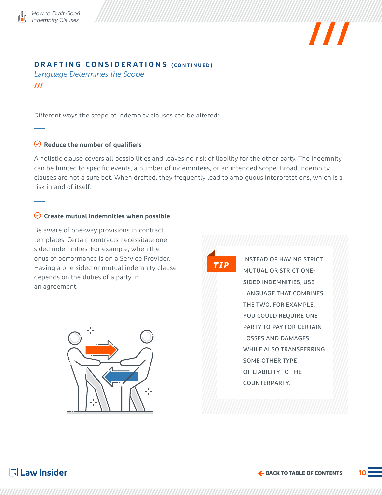



### **DRAFTING CONSIDERATIONS (CONTINUED)**

*Language Determines the Scope*

**///**

Different ways the scope of indemnity clauses can be altered:

### **Reduce the number of qualifiers**

A holistic clause covers all possibilities and leaves no risk of liability for the other party. The indemnity can be limited to specific events, a number of indemnitees, or an intended scope. Broad indemnity clauses are not a sure bet. When drafted, they frequently lead to ambiguous interpretations, which is a risk in and of itself.

### **Create mutual indemnities when possible**

Be aware of one-way provisions in contract templates. Certain contracts necessitate onesided indemnities. For example, when the onus of performance is on a Service Provider. Having a one-sided or mutual indemnity clause depends on the duties of a party in an agreement.



*TIP*

INSTEAD OF HAVING STRICT MUTUAL OR STRICT ONE-SIDED INDEMNITIES, USE LANGUAGE THAT COMBINES THE TWO. FOR EXAMPLE, YOU COULD REQUIRE ONE PARTY TO PAY FOR CERTAIN LOSSES AND DAMAGES WHILE ALSO TRANSFERRING SOME OTHER TYPE OF LIABILITY TO THE COUNTERPARTY.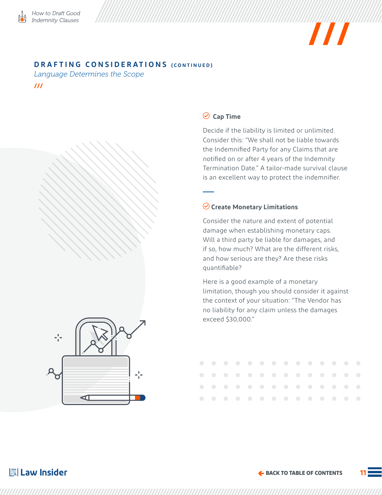



### **DRAFTING CONSIDERATIONS (CONTINUED)**

*Language Determines the Scope*

**///**



Decide if the liability is limited or unlimited. Consider this: "We shall not be liable towards the Indemnified Party for any Claims that are notified on or after 4 years of the Indemnity Termination Date." A tailor-made survival clause is an excellent way to protect the indemnifier.

## **Create Monetary Limitations**

Consider the nature and extent of potential damage when establishing monetary caps. Will a third party be liable for damages, and if so, how much? What are the different risks, and how serious are they? Are these risks quantifiable?

Here is a good example of a monetary limitation, though you should consider it against the context of your situation: "The Vendor has no liability for any claim unless the damages exceed \$30,000."



|  |  |  |  |  |  | . |  |
|--|--|--|--|--|--|---|--|
|  |  |  |  |  |  | . |  |
|  |  |  |  |  |  | . |  |
|  |  |  |  |  |  | . |  |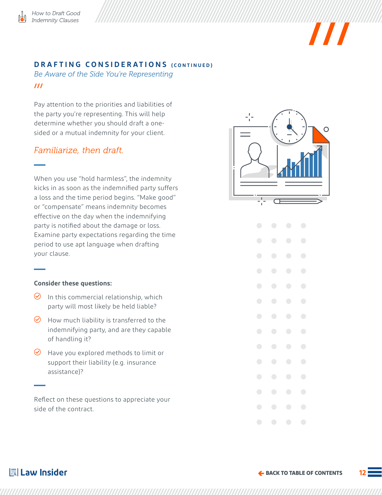

### **DRAFTING CONSIDERATIONS (CONTINUED)**

*Be Aware of the Side You're Representing* **///**

Pay attention to the priorities and liabilities of the party you're representing. This will help determine whether you should draft a onesided or a mutual indemnity for your client.

### *Familiarize, then draft.*

When you use "hold harmless", the indemnity kicks in as soon as the indemnified party suffers a loss and the time period begins. "Make good" or "compensate" means indemnity becomes effective on the day when the indemnifying party is notified about the damage or loss. Examine party expectations regarding the time period to use apt language when drafting your clause.

#### **Consider these questions:**

- $\Theta$  In this commercial relationship, which party will most likely be held liable?
- $\Theta$  How much liability is transferred to the indemnifying party, and are they capable of handling it?
- $\Theta$  Have you explored methods to limit or support their liability (e.g. insurance assistance)?

Reflect on these questions to appreciate your side of the contract.



 $\boldsymbol{H}$ 

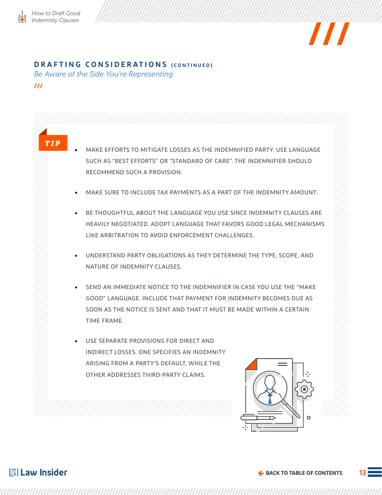

*TIP*



### **DRAFTING CONSIDERATIONS (CONTINUED)**

*Be Aware of the Side You're Representing*

**///**

- MAKE EFFORTS TO MITIGATE LOSSES AS THE INDEMNIFIED PARTY. USE LANGUAGE SUCH AS "BEST EFFORTS" OR "STANDARD OF CARE". THE INDEMNIFIER SHOULD RECOMMEND SUCH A PROVISION.
- MAKE SURE TO INCLUDE TAX PAYMENTS AS A PART OF THE INDEMNITY AMOUNT.
- BE THOUGHTFUL ABOUT THE LANGUAGE YOU USE SINCE INDEMNITY CLAUSES ARE HEAVILY NEGOTIATED. ADOPT LANGUAGE THAT FAVORS GOOD LEGAL MECHANISMS LIKE ARBITRATION TO AVOID ENFORCEMENT CHALLENGES.
- UNDERSTAND PARTY OBLIGATIONS AS THEY DETERMINE THE TYPE, SCOPE, AND NATURE OF INDEMNITY CLAUSES.
- SEND AN IMMEDIATE NOTICE TO THE INDEMNIFIER IN CASE YOU USE THE "MAKE GOOD" LANGUAGE. INCLUDE THAT PAYMENT FOR INDEMNITY BECOMES DUE AS SOON AS THE NOTICE IS SENT AND THAT IT MUST BE MADE WITHIN A CERTAIN TIME FRAME.
- USE SEPARATE PROVISIONS FOR DIRECT AND INDIRECT LOSSES. ONE SPECIFIES AN INDEMNITY ARISING FROM A PARTY'S DEFAULT, WHILE THE OTHER ADDRESSES THIRD-PARTY CLAIMS.

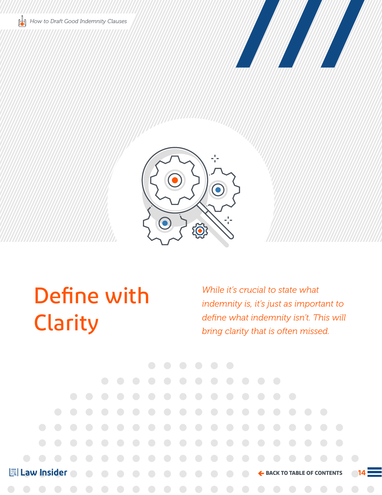<span id="page-13-0"></span>





Define with Clarity

*While it's crucial to state what indemnity is, it's just as important to define what indemnity isn't. This will bring clarity that is often missed.*

**| Law Insider** 

**[BACK TO TABLE OF CONTENTS](#page-2-0)**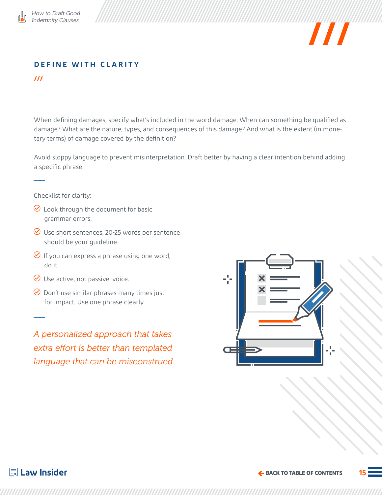



## **DEFINE WITH CLARITY**

**///**

When defining damages, specify what's included in the word damage. When can something be qualified as damage? What are the nature, types, and consequences of this damage? And what is the extent (in monetary terms) of damage covered by the definition?

Avoid sloppy language to prevent misinterpretation. Draft better by having a clear intention behind adding a specific phrase.

Checklist for clarity:

- $\odot$  Look through the document for basic grammar errors.
- $\odot$  Use short sentences. 20-25 words per sentence should be your guideline.
- $\Theta$  If you can express a phrase using one word, do it.
- $\odot$  Use active, not passive, voice.
- $\odot$  Don't use similar phrases many times just for impact. Use one phrase clearly.

*A personalized approach that takes extra effort is better than templated language that can be misconstrued.*

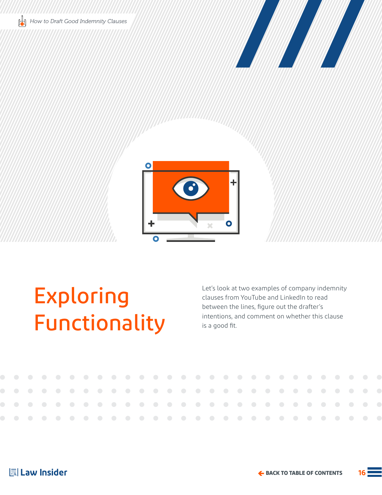<span id="page-15-0"></span>





## Exploring Functionality

 $\bigcirc$ 

 $\bigcirc$ 

 $\bigcirc$ 

Let's look at two examples of company indemnity clauses from YouTube and LinkedIn to read between the lines, figure out the drafter's intentions, and comment on whether this clause is a good fit.

| 틞 Law Insider |  |
|---------------|--|
|               |  |

 $\bigcirc$ 

 $\bigcirc$ 

 $\bigcirc$ 

 $\bigcirc$ 

 $\bigcirc$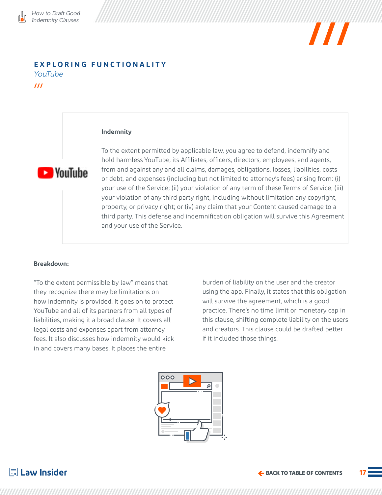

#### **EXPLORING FUNCTIONALITY** *YouTube*

**///**

#### **Indemnity**



To the extent permitted by applicable law, you agree to defend, indemnify and hold harmless YouTube, its Affiliates, officers, directors, employees, and agents, from and against any and all claims, damages, obligations, losses, liabilities, costs or debt, and expenses (including but not limited to attorney's fees) arising from: (i) your use of the Service; (ii) your violation of any term of these Terms of Service; (iii) your violation of any third party right, including without limitation any copyright, property, or privacy right; or (iv) any claim that your Content caused damage to a third party. This defense and indemnification obligation will survive this Agreement and your use of the Service.

#### **Breakdown:**

"To the extent permissible by law" means that they recognize there may be limitations on how indemnity is provided. It goes on to protect YouTube and all of its partners from all types of liabilities, making it a broad clause. It covers all legal costs and expenses apart from attorney fees. It also discusses how indemnity would kick in and covers many bases. It places the entire

burden of liability on the user and the creator using the app. Finally, it states that this obligation will survive the agreement, which is a good practice. There's no time limit or monetary cap in this clause, shifting complete liability on the users and creators. This clause could be drafted better if it included those things.

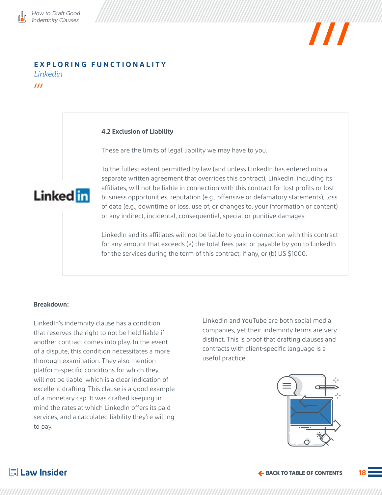## **EXPLORING FUNCTIONALITY**

*Linkedin*

**///**

#### **4.2 Exclusion of Liability**

These are the limits of legal liability we may have to you.



To the fullest extent permitted by law (and unless LinkedIn has entered into a separate written agreement that overrides this contract), LinkedIn, including its affiliates, will not be liable in connection with this contract for lost profits or lost business opportunities, reputation (e.g., offensive or defamatory statements), loss of data (e.g., downtime or loss, use of, or changes to, your information or content) or any indirect, incidental, consequential, special or punitive damages.

LinkedIn and its affiliates will not be liable to you in connection with this contract for any amount that exceeds (a) the total fees paid or payable by you to LinkedIn for the services during the term of this contract, if any, or (b) US \$1000.

#### **Breakdown:**

LinkedIn's indemnity clause has a condition that reserves the right to not be held liable if another contract comes into play. In the event of a dispute, this condition necessitates a more thorough examination. They also mention platform-specific conditions for which they will not be liable, which is a clear indication of excellent drafting. This clause is a good example of a monetary cap. It was drafted keeping in mind the rates at which LinkedIn offers its paid services, and a calculated liability they're willing to pay.

LinkedIn and YouTube are both social media companies, yet their indemnity terms are very distinct. This is proof that drafting clauses and contracts with client-specific language is a useful practice.



## **I Law Insider**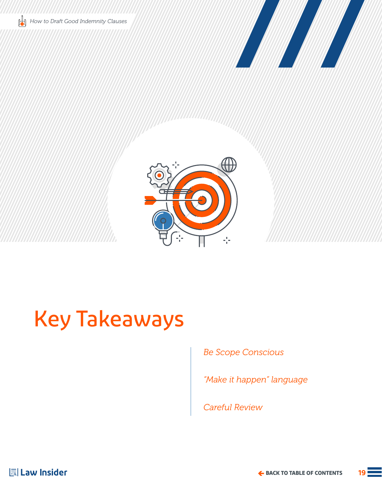<span id="page-18-0"></span>





## Key Takeaways

*Be Scope Conscious*

*"Make it happen" language*

*Careful Review*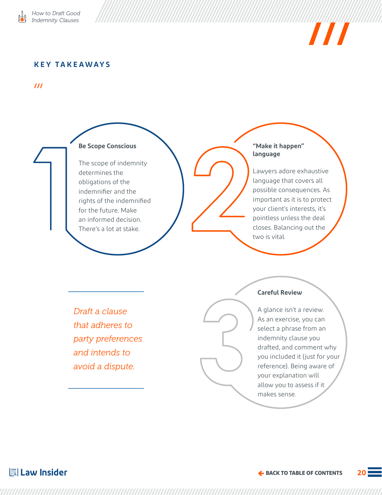



### **KEY TAKEAWAYS**

**///**



#### **"Make it happen" language**

Lawyers adore exhaustive language that covers all possible consequences. As important as it is to protect your client's interests, it's pointless unless the deal closes. Balancing out the two is vital.

*Draft a clause that adheres to party preferences and intends to avoid a dispute.* 

### **Careful Review**

A glance isn't a review. As an exercise, you can select a phrase from an indemnity clause you drafted, and comment why you included it (just for your reference). Being aware of your explanation will allow you to assess if it makes sense.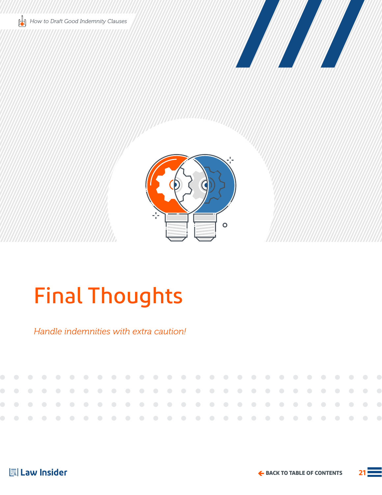<span id="page-20-0"></span>





## Final Thoughts

*Handle indemnities with extra caution!*

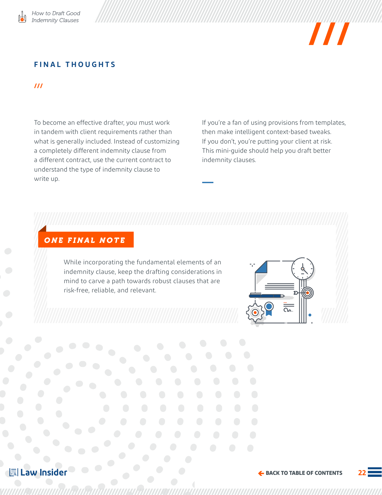

## $\boldsymbol{H}$

### **FINAL THOUGHTS**

#### **///**

To become an effective drafter, you must work in tandem with client requirements rather than what is generally included. Instead of customizing a completely different indemnity clause from a different contract, use the current contract to understand the type of indemnity clause to write up.

If you're a fan of using provisions from templates, then make intelligent context-based tweaks. If you don't, you're putting your client at risk. This mini-guide should help you draft better indemnity clauses.

## *ONE FINAL NOTE*

While incorporating the fundamental elements of an indemnity clause, keep the drafting considerations in mind to carve a path towards robust clauses that are risk-free, reliable, and relevant.